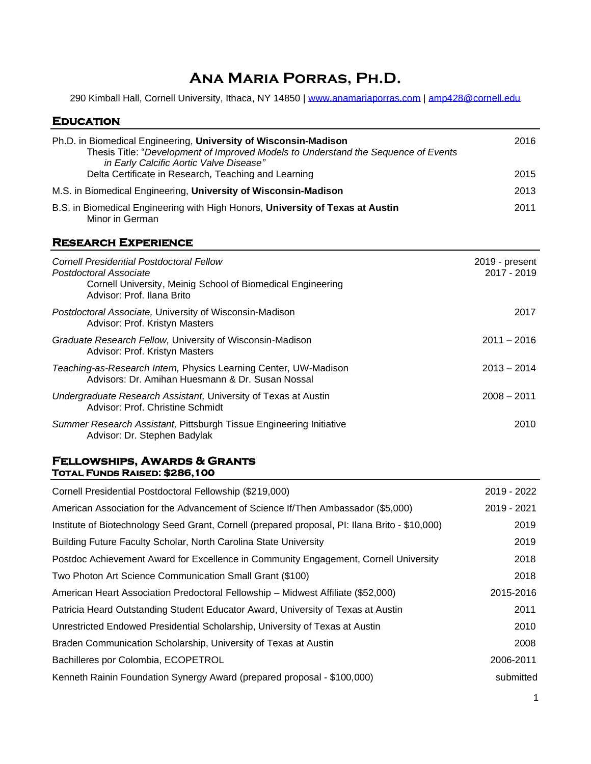# **Ana Maria Porras, Ph.D.**

290 Kimball Hall, Cornell University, Ithaca, NY 14850 | [www.anamariaporras.com](http://www.anamariaporras.com/) | [amp428@cornell.edu](mailto:amp428@cornell.edu)

# **Education**

| Ph.D. in Biomedical Engineering, University of Wisconsin-Madison<br>Thesis Title: "Development of Improved Models to Understand the Sequence of Events<br>in Early Calcific Aortic Valve Disease" | 2016                          |
|---------------------------------------------------------------------------------------------------------------------------------------------------------------------------------------------------|-------------------------------|
| Delta Certificate in Research, Teaching and Learning                                                                                                                                              | 2015                          |
| M.S. in Biomedical Engineering, University of Wisconsin-Madison                                                                                                                                   | 2013                          |
| B.S. in Biomedical Engineering with High Honors, University of Texas at Austin<br>Minor in German                                                                                                 | 2011                          |
| <b>RESEARCH EXPERIENCE</b>                                                                                                                                                                        |                               |
| <b>Cornell Presidential Postdoctoral Fellow</b><br>Postdoctoral Associate<br>Cornell University, Meinig School of Biomedical Engineering<br>Advisor: Prof. Ilana Brito                            | 2019 - present<br>2017 - 2019 |
| Postdoctoral Associate, University of Wisconsin-Madison<br>Advisor: Prof. Kristyn Masters                                                                                                         | 2017                          |
| Graduate Research Fellow, University of Wisconsin-Madison<br>Advisor: Prof. Kristyn Masters                                                                                                       | $2011 - 2016$                 |
| Teaching-as-Research Intern, Physics Learning Center, UW-Madison<br>Advisors: Dr. Amihan Huesmann & Dr. Susan Nossal                                                                              | $2013 - 2014$                 |
| Undergraduate Research Assistant, University of Texas at Austin<br>Advisor: Prof. Christine Schmidt                                                                                               | $2008 - 2011$                 |
| Summer Research Assistant, Pittsburgh Tissue Engineering Initiative<br>Advisor: Dr. Stephen Badylak                                                                                               | 2010                          |

### **Fellowships, Awards & Grants Total Funds Raised: \$286,100**

| Cornell Presidential Postdoctoral Fellowship (\$219,000)                                       | 2019 - 2022 |
|------------------------------------------------------------------------------------------------|-------------|
| American Association for the Advancement of Science If/Then Ambassador (\$5,000)               | 2019 - 2021 |
| Institute of Biotechnology Seed Grant, Cornell (prepared proposal, PI: Ilana Brito - \$10,000) | 2019        |
| Building Future Faculty Scholar, North Carolina State University                               | 2019        |
| Postdoc Achievement Award for Excellence in Community Engagement, Cornell University           | 2018        |
| Two Photon Art Science Communication Small Grant (\$100)                                       | 2018        |
| American Heart Association Predoctoral Fellowship - Midwest Affiliate (\$52,000)               | 2015-2016   |
| Patricia Heard Outstanding Student Educator Award, University of Texas at Austin               | 2011        |
| Unrestricted Endowed Presidential Scholarship, University of Texas at Austin                   | 2010        |
| Braden Communication Scholarship, University of Texas at Austin                                | 2008        |
| Bachilleres por Colombia, ECOPETROL                                                            | 2006-2011   |
| Kenneth Rainin Foundation Synergy Award (prepared proposal - \$100,000)                        | submitted   |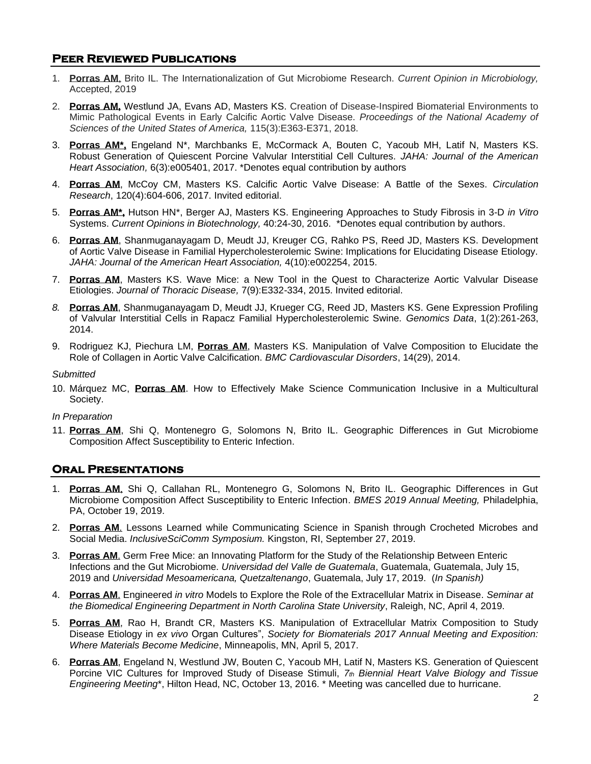# **Peer Reviewed Publications**

- 1. **Porras AM**, Brito IL. The Internationalization of Gut Microbiome Research. *Current Opinion in Microbiology,*  Accepted, 2019
- 2. **Porras AM,** Westlund JA, Evans AD, Masters KS. Creation of Disease-Inspired Biomaterial Environments to Mimic Pathological Events in Early Calcific Aortic Valve Disease. *Proceedings of the National Academy of Sciences of the United States of America,* 115(3):E363-E371, 2018.
- 3. **Porras AM\*,** Engeland N\*, Marchbanks E, McCormack A, Bouten C, Yacoub MH, Latif N, Masters KS. Robust Generation of Quiescent Porcine Valvular Interstitial Cell Cultures. *JAHA: Journal of the American Heart Association,* 6(3):e005401, 2017. \*Denotes equal contribution by authors
- 4. **Porras AM**, McCoy CM, Masters KS. Calcific Aortic Valve Disease: A Battle of the Sexes. *Circulation Research*, 120(4):604-606, 2017. Invited editorial.
- 5. **Porras AM\*,** Hutson HN\*, Berger AJ, Masters KS. Engineering Approaches to Study Fibrosis in 3-D *in Vitro* Systems. *Current Opinions in Biotechnology,* 40:24-30, 2016. \*Denotes equal contribution by authors.
- 6. **Porras AM**, Shanmuganayagam D, Meudt JJ, Kreuger CG, Rahko PS, Reed JD, Masters KS. Development of Aortic Valve Disease in Familial Hypercholesterolemic Swine: Implications for Elucidating Disease Etiology. *JAHA: Journal of the American Heart Association,* 4(10):e002254, 2015.
- 7. **Porras AM**, Masters KS. Wave Mice: a New Tool in the Quest to Characterize Aortic Valvular Disease Etiologies. *Journal of Thoracic Disease,* 7(9):E332-334, 2015. Invited editorial.
- *8.* **Porras AM**, Shanmuganayagam D, Meudt JJ, Krueger CG, Reed JD, Masters KS. Gene Expression Profiling of Valvular Interstitial Cells in Rapacz Familial Hypercholesterolemic Swine. *Genomics Data*, 1(2):261-263, 2014.
- 9. Rodriguez KJ, Piechura LM, **Porras AM**, Masters KS. Manipulation of Valve Composition to Elucidate the Role of Collagen in Aortic Valve Calcification. *BMC Cardiovascular Disorders*, 14(29), 2014.

*Submitted*

10. Márquez MC, **Porras AM**. How to Effectively Make Science Communication Inclusive in a Multicultural Society.

### *In Preparation*

11. **Porras AM**, Shi Q, Montenegro G, Solomons N, Brito IL. Geographic Differences in Gut Microbiome Composition Affect Susceptibility to Enteric Infection.

# **Oral Presentations**

- 1. **Porras AM**, Shi Q, Callahan RL, Montenegro G, Solomons N, Brito IL. Geographic Differences in Gut Microbiome Composition Affect Susceptibility to Enteric Infection. *BMES 2019 Annual Meeting,* Philadelphia, PA, October 19, 2019.
- 2. **Porras AM**. Lessons Learned while Communicating Science in Spanish through Crocheted Microbes and Social Media. *InclusiveSciComm Symposium.* Kingston, RI, September 27, 2019.
- 3. **Porras AM**. Germ Free Mice: an Innovating Platform for the Study of the Relationship Between Enteric Infections and the Gut Microbiome. *Universidad del Valle de Guatemala*, Guatemala, Guatemala, July 15, 2019 and *Universidad Mesoamericana, Quetzaltenango*, Guatemala, July 17, 2019. (*In Spanish)*
- 4. **Porras AM**. Engineered *in vitro* Models to Explore the Role of the Extracellular Matrix in Disease. *Seminar at the Biomedical Engineering Department in North Carolina State University*, Raleigh, NC, April 4, 2019.
- 5. **Porras AM**, Rao H, Brandt CR, Masters KS. Manipulation of Extracellular Matrix Composition to Study Disease Etiology in *ex vivo* Organ Cultures", *Society for Biomaterials 2017 Annual Meeting and Exposition: Where Materials Become Medicine*, Minneapolis, MN, April 5, 2017.
- 6. **Porras AM**, Engeland N, Westlund JW, Bouten C, Yacoub MH, Latif N, Masters KS. Generation of Quiescent Porcine VIC Cultures for Improved Study of Disease Stimuli, *7th Biennial Heart Valve Biology and Tissue Engineering Meeting*\*, Hilton Head, NC, October 13, 2016. \* Meeting was cancelled due to hurricane.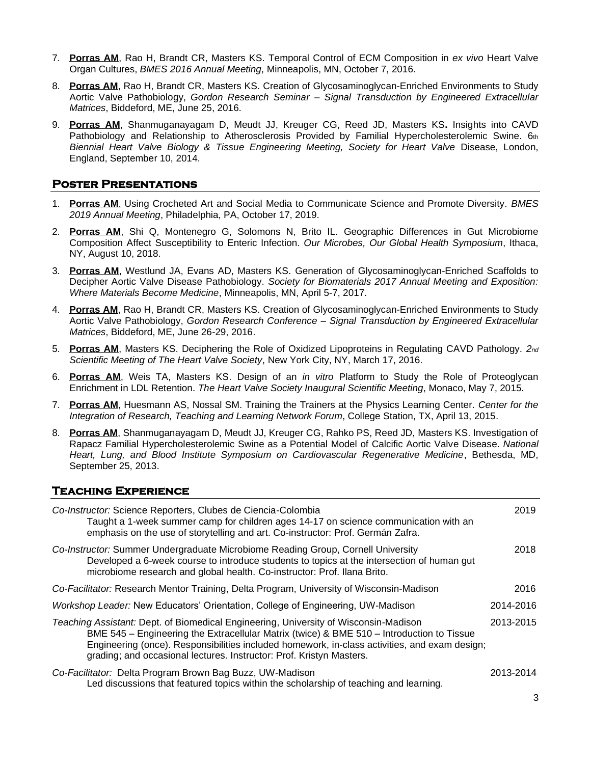- 7. **Porras AM**, Rao H, Brandt CR, Masters KS. Temporal Control of ECM Composition in *ex vivo* Heart Valve Organ Cultures, *BMES 2016 Annual Meeting*, Minneapolis, MN, October 7, 2016.
- 8. **Porras AM**, Rao H, Brandt CR, Masters KS. Creation of Glycosaminoglycan-Enriched Environments to Study Aortic Valve Pathobiology, *Gordon Research Seminar – Signal Transduction by Engineered Extracellular Matrices*, Biddeford, ME, June 25, 2016.
- 9. **Porras AM**, Shanmuganayagam D, Meudt JJ, Kreuger CG, Reed JD, Masters KS**.** Insights into CAVD Pathobiology and Relationship to Atherosclerosis Provided by Familial Hypercholesterolemic Swine. 6th *Biennial Heart Valve Biology & Tissue Engineering Meeting, Society for Heart Valve* Disease, London, England, September 10, 2014.

# **Poster Presentations**

- 1. **Porras AM**. Using Crocheted Art and Social Media to Communicate Science and Promote Diversity. *BMES 2019 Annual Meeting*, Philadelphia, PA, October 17, 2019.
- 2. **Porras AM**, Shi Q, Montenegro G, Solomons N, Brito IL. Geographic Differences in Gut Microbiome Composition Affect Susceptibility to Enteric Infection. *Our Microbes, Our Global Health Symposium*, Ithaca, NY, August 10, 2018.
- 3. **Porras AM**, Westlund JA, Evans AD, Masters KS. Generation of Glycosaminoglycan-Enriched Scaffolds to Decipher Aortic Valve Disease Pathobiology. *Society for Biomaterials 2017 Annual Meeting and Exposition: Where Materials Become Medicine*, Minneapolis, MN, April 5-7, 2017.
- 4. **Porras AM**, Rao H, Brandt CR, Masters KS. Creation of Glycosaminoglycan-Enriched Environments to Study Aortic Valve Pathobiology, *Gordon Research Conference – Signal Transduction by Engineered Extracellular Matrices*, Biddeford, ME, June 26-29, 2016.
- 5. **Porras AM**, Masters KS. Deciphering the Role of Oxidized Lipoproteins in Regulating CAVD Pathology. *2nd Scientific Meeting of The Heart Valve Society*, New York City, NY, March 17, 2016.
- 6. **Porras AM**, Weis TA, Masters KS. Design of an *in vitro* Platform to Study the Role of Proteoglycan Enrichment in LDL Retention. *The Heart Valve Society Inaugural Scientific Meeting*, Monaco, May 7, 2015.
- 7. **Porras AM**, Huesmann AS, Nossal SM. Training the Trainers at the Physics Learning Center. *Center for the Integration of Research, Teaching and Learning Network Forum*, College Station, TX, April 13, 2015.
- 8. **Porras AM**, Shanmuganayagam D, Meudt JJ, Kreuger CG, Rahko PS, Reed JD, Masters KS. Investigation of Rapacz Familial Hypercholesterolemic Swine as a Potential Model of Calcific Aortic Valve Disease. *National Heart, Lung, and Blood Institute Symposium on Cardiovascular Regenerative Medicine*, Bethesda, MD, September 25, 2013.

# **Teaching Experience**

| Co-Instructor: Science Reporters, Clubes de Ciencia-Colombia<br>Taught a 1-week summer camp for children ages 14-17 on science communication with an<br>emphasis on the use of storytelling and art. Co-instructor: Prof. Germán Zafra.                                                                                                                    | 2019      |
|------------------------------------------------------------------------------------------------------------------------------------------------------------------------------------------------------------------------------------------------------------------------------------------------------------------------------------------------------------|-----------|
| Co-Instructor: Summer Undergraduate Microbiome Reading Group, Cornell University<br>Developed a 6-week course to introduce students to topics at the intersection of human gut<br>microbiome research and global health. Co-instructor: Prof. Ilana Brito.                                                                                                 | 2018      |
| Co-Facilitator: Research Mentor Training, Delta Program, University of Wisconsin-Madison                                                                                                                                                                                                                                                                   | 2016      |
| <i>Workshop Leader:</i> New Educators' Orientation, College of Engineering, UW-Madison                                                                                                                                                                                                                                                                     | 2014-2016 |
| Teaching Assistant: Dept. of Biomedical Engineering, University of Wisconsin-Madison<br>BME 545 - Engineering the Extracellular Matrix (twice) & BME 510 - Introduction to Tissue<br>Engineering (once). Responsibilities included homework, in-class activities, and exam design;<br>grading; and occasional lectures. Instructor: Prof. Kristyn Masters. | 2013-2015 |
| Co-Facilitator: Delta Program Brown Bag Buzz, UW-Madison<br>Led discussions that featured topics within the scholarship of teaching and learning.                                                                                                                                                                                                          | 2013-2014 |
|                                                                                                                                                                                                                                                                                                                                                            | 3         |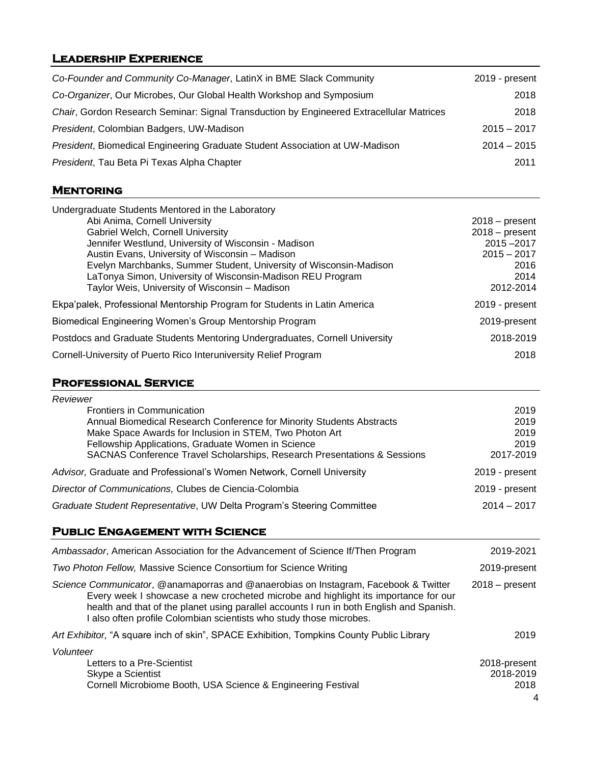# **Leadership Experience**

| Co-Founder and Community Co-Manager, LatinX in BME Slack Community                                                                                                                                                                                                                                                                                                                                                       | 2019 - present                                                                                  |
|--------------------------------------------------------------------------------------------------------------------------------------------------------------------------------------------------------------------------------------------------------------------------------------------------------------------------------------------------------------------------------------------------------------------------|-------------------------------------------------------------------------------------------------|
| Co-Organizer, Our Microbes, Our Global Health Workshop and Symposium                                                                                                                                                                                                                                                                                                                                                     | 2018                                                                                            |
| Chair, Gordon Research Seminar: Signal Transduction by Engineered Extracellular Matrices                                                                                                                                                                                                                                                                                                                                 | 2018                                                                                            |
| President, Colombian Badgers, UW-Madison                                                                                                                                                                                                                                                                                                                                                                                 | $2015 - 2017$                                                                                   |
| President, Biomedical Engineering Graduate Student Association at UW-Madison                                                                                                                                                                                                                                                                                                                                             | $2014 - 2015$                                                                                   |
| President, Tau Beta Pi Texas Alpha Chapter                                                                                                                                                                                                                                                                                                                                                                               | 2011                                                                                            |
| <b>MENTORING</b>                                                                                                                                                                                                                                                                                                                                                                                                         |                                                                                                 |
| Undergraduate Students Mentored in the Laboratory<br>Abi Anima, Cornell University<br>Gabriel Welch, Cornell University<br>Jennifer Westlund, University of Wisconsin - Madison<br>Austin Evans, University of Wisconsin - Madison<br>Evelyn Marchbanks, Summer Student, University of Wisconsin-Madison<br>LaTonya Simon, University of Wisconsin-Madison REU Program<br>Taylor Weis, University of Wisconsin - Madison | $2018 - present$<br>$2018 - present$<br>2015-2017<br>$2015 - 2017$<br>2016<br>2014<br>2012-2014 |
| Ekpa'palek, Professional Mentorship Program for Students in Latin America                                                                                                                                                                                                                                                                                                                                                | 2019 - present                                                                                  |
| Biomedical Engineering Women's Group Mentorship Program                                                                                                                                                                                                                                                                                                                                                                  | 2019-present                                                                                    |
| Postdocs and Graduate Students Mentoring Undergraduates, Cornell University                                                                                                                                                                                                                                                                                                                                              | 2018-2019                                                                                       |
| Cornell-University of Puerto Rico Interuniversity Relief Program                                                                                                                                                                                                                                                                                                                                                         | 2018                                                                                            |
|                                                                                                                                                                                                                                                                                                                                                                                                                          |                                                                                                 |
| <b>PROFESSIONAL SERVICE</b>                                                                                                                                                                                                                                                                                                                                                                                              |                                                                                                 |
| Reviewer<br><b>Frontiers in Communication</b><br>Annual Biomedical Research Conference for Minority Students Abstracts<br>Make Space Awards for Inclusion in STEM, Two Photon Art<br>Fellowship Applications, Graduate Women in Science<br>SACNAS Conference Travel Scholarships, Research Presentations & Sessions                                                                                                      | 2019<br>2019<br>2019<br>2019<br>2017-2019                                                       |
| Advisor, Graduate and Professional's Women Network, Cornell University                                                                                                                                                                                                                                                                                                                                                   | 2019 - present                                                                                  |
| Director of Communications, Clubes de Ciencia-Colombia                                                                                                                                                                                                                                                                                                                                                                   | 2019 - present                                                                                  |
| Graduate Student Representative, UW Delta Program's Steering Committee                                                                                                                                                                                                                                                                                                                                                   | $2014 - 2017$                                                                                   |
| <b>PUBLIC ENGAGEMENT WITH SCIENCE</b>                                                                                                                                                                                                                                                                                                                                                                                    |                                                                                                 |
| Ambassador, American Association for the Advancement of Science If/Then Program                                                                                                                                                                                                                                                                                                                                          | 2019-2021                                                                                       |
| Two Photon Fellow, Massive Science Consortium for Science Writing                                                                                                                                                                                                                                                                                                                                                        | 2019-present                                                                                    |
| Science Communicator, @anamaporras and @anaerobias on Instagram, Facebook & Twitter<br>Every week I showcase a new crocheted microbe and highlight its importance for our<br>health and that of the planet using parallel accounts I run in both English and Spanish.<br>I also often profile Colombian scientists who study those microbes.                                                                             | $2018 - present$                                                                                |
| Art Exhibitor, "A square inch of skin", SPACE Exhibition, Tompkins County Public Library                                                                                                                                                                                                                                                                                                                                 | 2019                                                                                            |
| Volunteer<br>Letters to a Pre-Scientist<br>Skype a Scientist<br>Cornell Microbiome Booth, USA Science & Engineering Festival                                                                                                                                                                                                                                                                                             | 2018-present<br>2018-2019<br>2018                                                               |